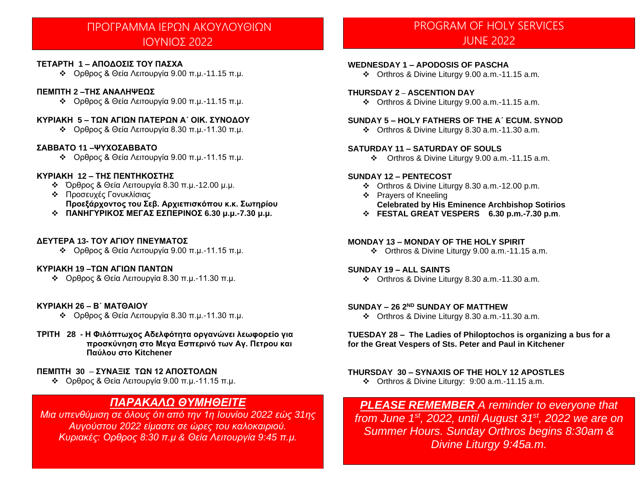# ΠΡΟΓΡΑΜΜΑ ΙΕΡΩΝ ΑΚΟΥΛΟΥΘΙΩΝ ΙΟΥΝΙΟΣ 2022

#### **ΤΕΤΑΡΤΗ 1 – ΑΠΟΔΟΣΙΣ ΤΟΥ ΠΑΣΧΑ**

❖ Ορθρος & Θεία Λειτουργία 9.00 π.μ.-11.15 π.μ.

#### **ΠΕΜΠΤΗ 2 –ΤΗΣ ΑΝΑΛΗΨΕΩΣ**

❖ Ορθρος & Θεία Λειτουργία 9.00 π.μ.-11.15 π.μ.

#### **ΚΥΡΙΑΚΗ 5 – ΤΩΝ ΑΓΙΩΝ ΠΑΤΕΡΩΝ Α΄ ΟΙΚ. ΣΥΝΟΔΟΥ**

❖ Ορθρος & Θεία Λειτουργία 8.30 π.μ.-11.30 π.μ.

#### **ΣΑΒΒΑΤΟ 11 –ΨΥΧΟΣΑΒΒΑΤΟ**

❖ Ορθρος & Θεία Λειτουργία 9.00 π.μ.-11.15 π.μ.

#### **ΚΥΡΙΑΚΗ 12 – ΤΗΣ ΠΕΝΤΗΚΟΣΤΗΣ**

- ❖ Όρθρος & Θεία Λειτουργία 8.30 π.μ.-12.00 μ.μ.
- ❖ Προσευχές Γονυκλίσιας **Προεξάρχοντος του Σεβ. Αρχιεπισκόπου κ.κ. Σωτηρίου**
- ❖ **ΠΑΝΗΓΥΡΙΚΟΣ ΜΕΓΑΣ ΕΣΠΕΡΙΝΟΣ 6.30 μ.μ.-7.30 μ.μ.**

#### **ΔΕΥΤΕΡΑ 13- ΤΟΥ ΑΓΙΟΥ ΠΝΕΥΜΑΤΟΣ**

❖ Ορθρος & Θεία Λειτουργία 9.00 π.μ.-11.15 π.μ.

#### **ΚΥΡΙΑΚΗ 19 –ΤΩΝ ΑΓΙΩΝ ΠΑΝΤΩΝ**

❖ Ορθρος & Θεία Λειτουργία 8.30 π.μ.-11.30 π.μ.

#### **ΚΥΡΙΑΚΗ 26 – Β΄ ΜΑΤΘΑΙΟΥ**

- ❖ Ορθρος & Θεία Λειτουργία 8.30 π.μ.-11.30 π.μ.
- **ΤΡΙΤΗ 28 - Η Φιλόπτωχος Αδελφότητα οργανώνει λεωφορείο για προσκύνηση στο Μεγα Εσπερινό των Αγ. Πετρου και Παύλου στο Κitchener**

#### **ΠΕΜΠΤΗ 30** – **ΣΥΝΑΞΙΣ ΤΩΝ 12 ΑΠΟΣΤΟΛΩΝ**

❖ Ορθρος & Θεία Λειτουργία 9.00 π.μ.-11.15 π.μ.

### *ΠΑΡΑΚΑΛΩ ΘΥΜΗΘΕΙΤΕ*

*Μια υπενθύμιση σε όλους ότι από την 1η Ιουνίου 2022 εώς 31ης Αυγούστου 2022 είμαστε σε ώρες του καλοκαιριού. Κυριακές: Ορθρος 8:30 π.μ & Θεία Λειτουργία 9:45 π.μ.*

# PROGRAM OF HOLY SERVICES JUNE 2022

#### **WEDNESDAY 1 – APODOSIS OF PASCHA**

❖ Orthros & Divine Liturgy 9.00 a.m.-11.15 a.m.

#### **THURSDAY 2 – ASCENTION DAY**

❖ Orthros & Divine Liturgy 9.00 a.m.-11.15 a.m.

#### **SUNDAY 5 – HOLY FATHERS OF THE A΄ ECUM. SYNOD**

❖ Orthros & Divine Liturgy 8.30 a.m.-11.30 a.m.

#### **SATURDAY 11 – SATURDAY OF SOULS**

❖ Orthros & Divine Liturgy 9.00 a.m.-11.15 a.m.

#### **SUNDAY 12 – PENTECOST**

- ❖ Orthros & Divine Liturgy 8.30 a.m.-12.00 p.m.
- ❖ Prayers of Kneeling **Celebrated by His Eminence Archbishop Sotirios**
- ❖ **FESTAL GREAT VESPERS 6.30 p.m.-7.30 p.m**.

#### **MONDAY 13 – MONDAY OF THE HOLY SPIRIT**

❖ Orthros & Divine Liturgy 9.00 a.m.-11.15 a.m.

#### **SUNDAY 19 – ALL SAINTS**

❖ Orthros & Divine Liturgy 8.30 a.m.-11.30 a.m.

#### **SUNDAY – 26 2 ND SUNDAY OF MATTHEW**

❖ Orthros & Divine Liturgy 8.30 a.m.-11.30 a.m.

#### **TUESDAY 28 – The Ladies of Philoptochos is organizing a bus for a for the Great Vespers of Sts. Peter and Paul in Kitchener**

#### **THURSDAY 30 – SYNAXIS OF THE HOLY 12 APOSTLES**

❖ Orthros & Divine Liturgy: 9:00 a.m.-11.15 a.m.

*PLEASE REMEMBER A reminder to everyone that from June 1st , 2022, until August 31st, 2022 we are on Summer Hours. Sunday Orthros begins 8:30am & Divine Liturgy 9:45a.m.*